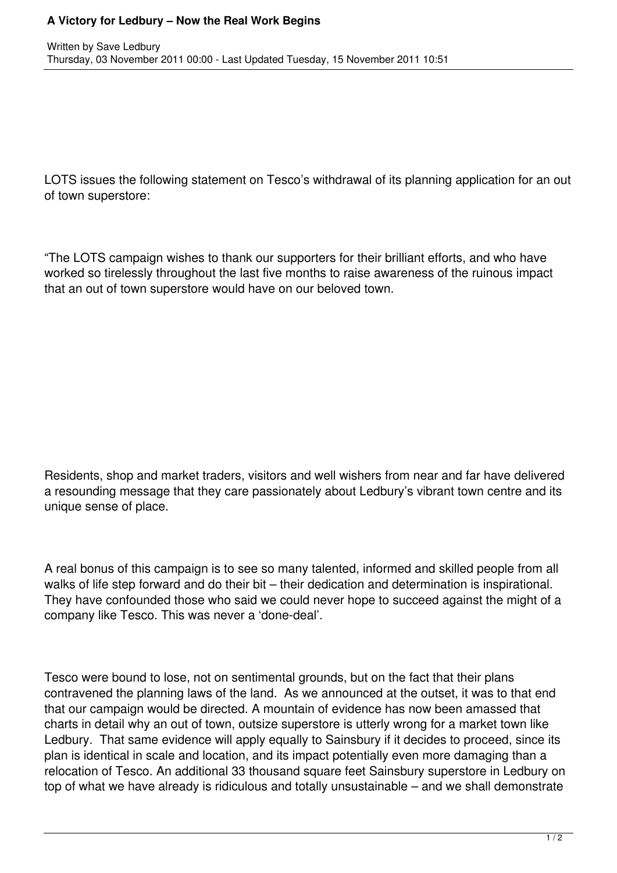LOTS issues the following statement on Tesco's withdrawal of its planning application for an out of town superstore:

"The LOTS campaign wishes to thank our supporters for their brilliant efforts, and who have worked so tirelessly throughout the last five months to raise awareness of the ruinous impact that an out of town superstore would have on our beloved town.

Residents, shop and market traders, visitors and well wishers from near and far have delivered a resounding message that they care passionately about Ledbury's vibrant town centre and its unique sense of place.

A real bonus of this campaign is to see so many talented, informed and skilled people from all walks of life step forward and do their bit – their dedication and determination is inspirational. They have confounded those who said we could never hope to succeed against the might of a company like Tesco. This was never a 'done-deal'.

Tesco were bound to lose, not on sentimental grounds, but on the fact that their plans contravened the planning laws of the land. As we announced at the outset, it was to that end that our campaign would be directed. A mountain of evidence has now been amassed that charts in detail why an out of town, outsize superstore is utterly wrong for a market town like Ledbury. That same evidence will apply equally to Sainsbury if it decides to proceed, since its plan is identical in scale and location, and its impact potentially even more damaging than a relocation of Tesco. An additional 33 thousand square feet Sainsbury superstore in Ledbury on top of what we have already is ridiculous and totally unsustainable – and we shall demonstrate